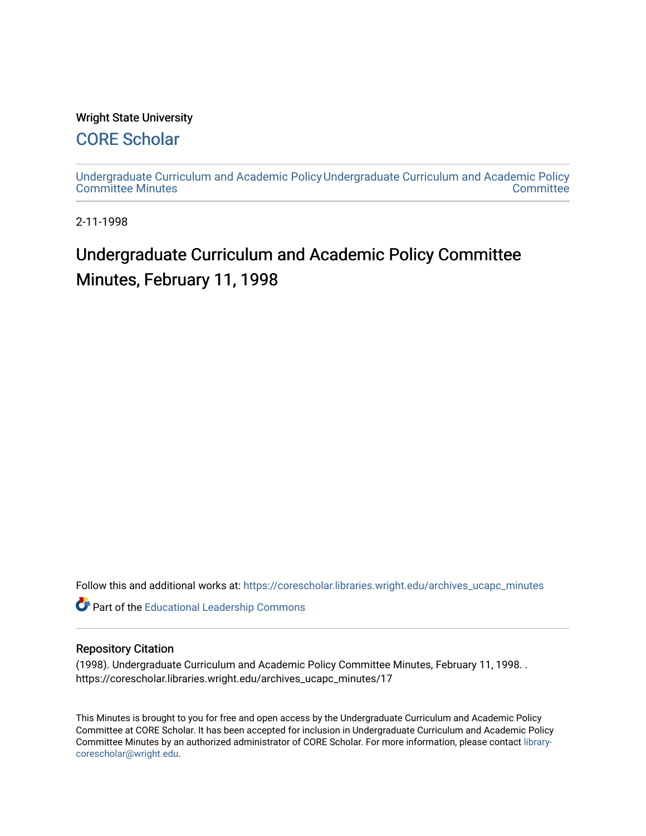#### Wright State University

# [CORE Scholar](https://corescholar.libraries.wright.edu/)

[Undergraduate Curriculum and Academic Policy](https://corescholar.libraries.wright.edu/archives_ucapc_minutes) [Undergraduate Curriculum and Academic Policy](https://corescholar.libraries.wright.edu/archives_ucapc)  [Committee Minutes](https://corescholar.libraries.wright.edu/archives_ucapc_minutes) **Committee** 

2-11-1998

# Undergraduate Curriculum and Academic Policy Committee Minutes, February 11, 1998

Follow this and additional works at: [https://corescholar.libraries.wright.edu/archives\\_ucapc\\_minutes](https://corescholar.libraries.wright.edu/archives_ucapc_minutes?utm_source=corescholar.libraries.wright.edu%2Farchives_ucapc_minutes%2F17&utm_medium=PDF&utm_campaign=PDFCoverPages) 

Part of the [Educational Leadership Commons](http://network.bepress.com/hgg/discipline/1230?utm_source=corescholar.libraries.wright.edu%2Farchives_ucapc_minutes%2F17&utm_medium=PDF&utm_campaign=PDFCoverPages) 

#### Repository Citation

(1998). Undergraduate Curriculum and Academic Policy Committee Minutes, February 11, 1998. . https://corescholar.libraries.wright.edu/archives\_ucapc\_minutes/17

This Minutes is brought to you for free and open access by the Undergraduate Curriculum and Academic Policy Committee at CORE Scholar. It has been accepted for inclusion in Undergraduate Curriculum and Academic Policy Committee Minutes by an authorized administrator of CORE Scholar. For more information, please contact [library](mailto:library-corescholar@wright.edu)[corescholar@wright.edu](mailto:library-corescholar@wright.edu).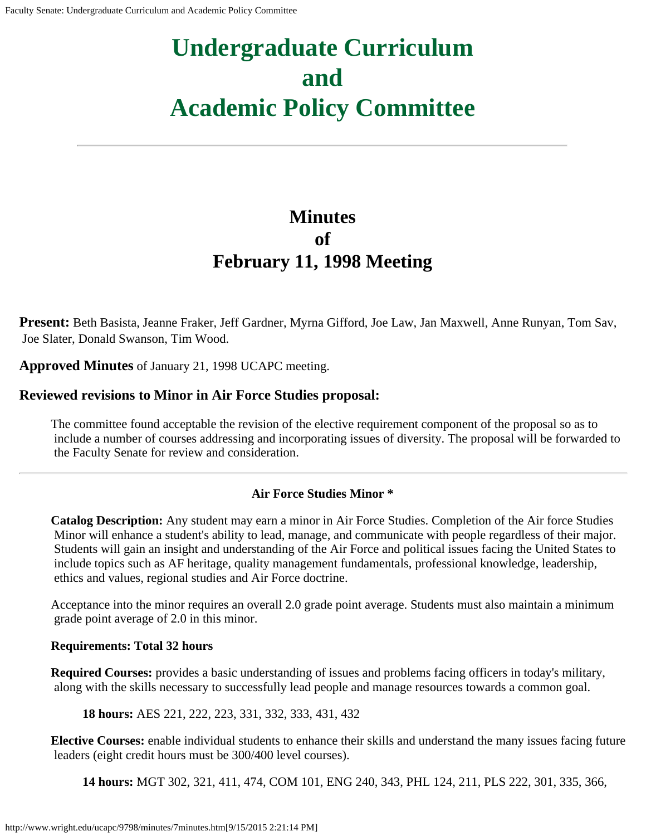# **Undergraduate Curriculum and Academic Policy Committee**

# **Minutes of February 11, 1998 Meeting**

**Present:** Beth Basista, Jeanne Fraker, Jeff Gardner, Myrna Gifford, Joe Law, Jan Maxwell, Anne Runyan, Tom Sav, Joe Slater, Donald Swanson, Tim Wood.

**Approved Minutes** of January 21, 1998 UCAPC meeting.

## **Reviewed revisions to Minor in Air Force Studies proposal:**

The committee found acceptable the revision of the elective requirement component of the proposal so as to include a number of courses addressing and incorporating issues of diversity. The proposal will be forwarded to the Faculty Senate for review and consideration.

## **Air Force Studies Minor \***

**Catalog Description:** Any student may earn a minor in Air Force Studies. Completion of the Air force Studies Minor will enhance a student's ability to lead, manage, and communicate with people regardless of their major. Students will gain an insight and understanding of the Air Force and political issues facing the United States to include topics such as AF heritage, quality management fundamentals, professional knowledge, leadership, ethics and values, regional studies and Air Force doctrine.

Acceptance into the minor requires an overall 2.0 grade point average. Students must also maintain a minimum grade point average of 2.0 in this minor.

#### **Requirements: Total 32 hours**

**Required Courses:** provides a basic understanding of issues and problems facing officers in today's military, along with the skills necessary to successfully lead people and manage resources towards a common goal.

**18 hours:** AES 221, 222, 223, 331, 332, 333, 431, 432

**Elective Courses:** enable individual students to enhance their skills and understand the many issues facing future leaders (eight credit hours must be 300/400 level courses).

**14 hours:** MGT 302, 321, 411, 474, COM 101, ENG 240, 343, PHL 124, 211, PLS 222, 301, 335, 366,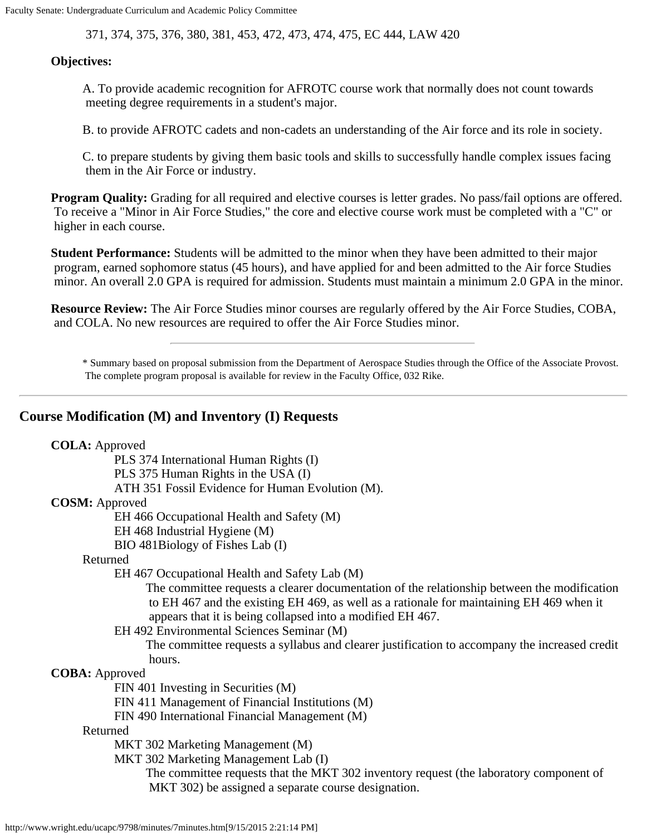Faculty Senate: Undergraduate Curriculum and Academic Policy Committee

371, 374, 375, 376, 380, 381, 453, 472, 473, 474, 475, EC 444, LAW 420

#### **Objectives:**

A. To provide academic recognition for AFROTC course work that normally does not count towards meeting degree requirements in a student's major.

B. to provide AFROTC cadets and non-cadets an understanding of the Air force and its role in society.

C. to prepare students by giving them basic tools and skills to successfully handle complex issues facing them in the Air Force or industry.

**Program Quality:** Grading for all required and elective courses is letter grades. No pass/fail options are offered. To receive a "Minor in Air Force Studies," the core and elective course work must be completed with a "C" or higher in each course.

**Student Performance:** Students will be admitted to the minor when they have been admitted to their major program, earned sophomore status (45 hours), and have applied for and been admitted to the Air force Studies minor. An overall 2.0 GPA is required for admission. Students must maintain a minimum 2.0 GPA in the minor.

**Resource Review:** The Air Force Studies minor courses are regularly offered by the Air Force Studies, COBA, and COLA. No new resources are required to offer the Air Force Studies minor.

\* Summary based on proposal submission from the Department of Aerospace Studies through the Office of the Associate Provost. The complete program proposal is available for review in the Faculty Office, 032 Rike.

#### **Course Modification (M) and Inventory (I) Requests**

| <b>COLA:</b> Approved                                                                         |
|-----------------------------------------------------------------------------------------------|
| PLS 374 International Human Rights (I)                                                        |
| PLS 375 Human Rights in the USA (I)                                                           |
| ATH 351 Fossil Evidence for Human Evolution (M).                                              |
| <b>COSM:</b> Approved                                                                         |
| EH 466 Occupational Health and Safety (M)                                                     |
| EH 468 Industrial Hygiene (M)                                                                 |
| BIO 481Biology of Fishes Lab (I)                                                              |
| Returned                                                                                      |
| EH 467 Occupational Health and Safety Lab (M)                                                 |
| The committee requests a clearer documentation of the relationship between the modification   |
| to EH 467 and the existing EH 469, as well as a rationale for maintaining EH 469 when it      |
| appears that it is being collapsed into a modified EH 467.                                    |
| EH 492 Environmental Sciences Seminar (M)                                                     |
| The committee requests a syllabus and clearer justification to accompany the increased credit |
| hours.                                                                                        |
| <b>COBA</b> : Approved                                                                        |
| FIN 401 Investing in Securities (M)                                                           |
| FIN 411 Management of Financial Institutions (M)                                              |
| FIN 490 International Financial Management (M)                                                |
| Returned                                                                                      |
| MKT 302 Marketing Management (M)                                                              |
| MKT 302 Marketing Management Lab (I)                                                          |
| The committee requests that the MKT 302 inventory request (the laboratory component of        |
| MKT 302) be assigned a separate course designation.                                           |
|                                                                                               |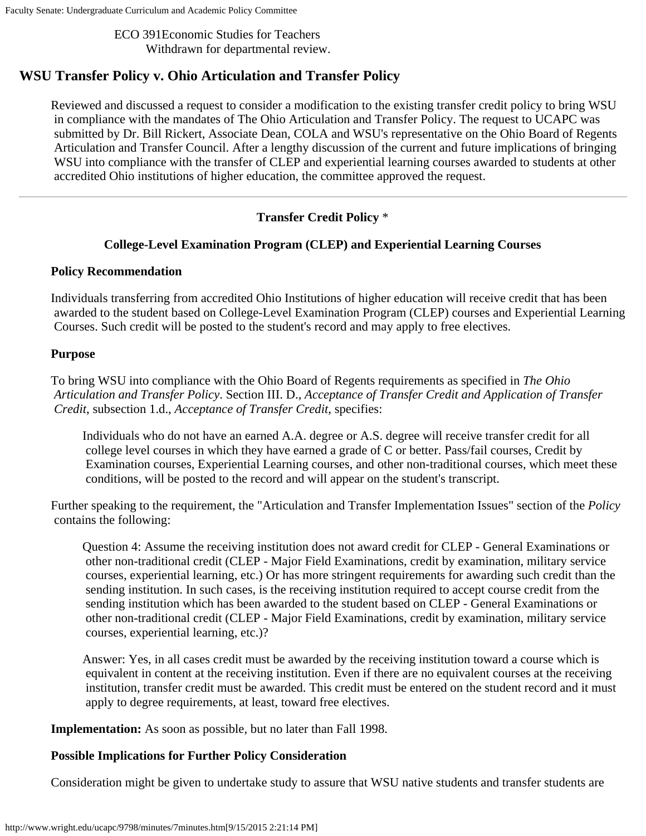Faculty Senate: Undergraduate Curriculum and Academic Policy Committee

ECO 391Economic Studies for Teachers Withdrawn for departmental review.

# **WSU Transfer Policy v. Ohio Articulation and Transfer Policy**

Reviewed and discussed a request to consider a modification to the existing transfer credit policy to bring WSU in compliance with the mandates of The Ohio Articulation and Transfer Policy. The request to UCAPC was submitted by Dr. Bill Rickert, Associate Dean, COLA and WSU's representative on the Ohio Board of Regents Articulation and Transfer Council. After a lengthy discussion of the current and future implications of bringing WSU into compliance with the transfer of CLEP and experiential learning courses awarded to students at other accredited Ohio institutions of higher education, the committee approved the request.

# **Transfer Credit Policy** \*

#### **College-Level Examination Program (CLEP) and Experiential Learning Courses**

#### **Policy Recommendation**

Individuals transferring from accredited Ohio Institutions of higher education will receive credit that has been awarded to the student based on College-Level Examination Program (CLEP) courses and Experiential Learning Courses. Such credit will be posted to the student's record and may apply to free electives.

#### **Purpose**

To bring WSU into compliance with the Ohio Board of Regents requirements as specified in *The Ohio Articulation and Transfer Policy*. Section III. D., *Acceptance of Transfer Credit and Application of Transfer Credit*, subsection 1.d., *Acceptance of Transfer Credit*, specifies:

Individuals who do not have an earned A.A. degree or A.S. degree will receive transfer credit for all college level courses in which they have earned a grade of C or better. Pass/fail courses, Credit by Examination courses, Experiential Learning courses, and other non-traditional courses, which meet these conditions, will be posted to the record and will appear on the student's transcript.

Further speaking to the requirement, the "Articulation and Transfer Implementation Issues" section of the *Policy* contains the following:

Question 4: Assume the receiving institution does not award credit for CLEP - General Examinations or other non-traditional credit (CLEP - Major Field Examinations, credit by examination, military service courses, experiential learning, etc.) Or has more stringent requirements for awarding such credit than the sending institution. In such cases, is the receiving institution required to accept course credit from the sending institution which has been awarded to the student based on CLEP - General Examinations or other non-traditional credit (CLEP - Major Field Examinations, credit by examination, military service courses, experiential learning, etc.)?

Answer: Yes, in all cases credit must be awarded by the receiving institution toward a course which is equivalent in content at the receiving institution. Even if there are no equivalent courses at the receiving institution, transfer credit must be awarded. This credit must be entered on the student record and it must apply to degree requirements, at least, toward free electives.

**Implementation:** As soon as possible, but no later than Fall 1998.

#### **Possible Implications for Further Policy Consideration**

Consideration might be given to undertake study to assure that WSU native students and transfer students are